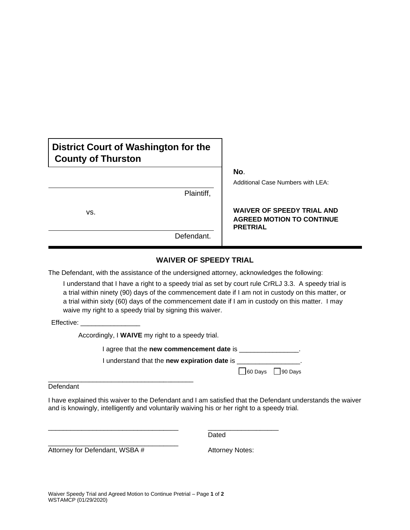# **District Court of Washington for the County of Thurston**

|     | Plaintiff, |
|-----|------------|
| VS. |            |
|     | Defendant. |

**No**.

Additional Case Numbers with LEA:

#### **WAIVER OF SPEEDY TRIAL AND AGREED MOTION TO CONTINUE PRETRIAL**

### **WAIVER OF SPEEDY TRIAL**

The Defendant, with the assistance of the undersigned attorney, acknowledges the following:

I understand that I have a right to a speedy trial as set by court rule CrRLJ 3.3. A speedy trial is a trial within ninety (90) days of the commencement date if I am not in custody on this matter, or a trial within sixty (60) days of the commencement date if I am in custody on this matter. I may waive my right to a speedy trial by signing this waiver.

Effective:

Accordingly, I **WAIVE** my right to a speedy trial.

\_\_\_\_\_\_\_\_\_\_\_\_\_\_\_\_\_\_\_\_\_\_\_\_\_\_\_\_\_\_\_\_\_\_\_ \_\_\_\_\_\_\_\_\_\_\_\_\_\_\_\_\_\_\_

I agree that the **new commencement date** is \_\_\_\_\_\_\_\_\_\_\_\_\_\_\_\_\_\_.

I understand that the **new expiration date** is \_\_\_\_\_\_\_\_\_\_\_\_\_\_\_\_\_.

 $\Box$  60 Days  $\Box$  90 Days

\_\_\_\_\_\_\_\_\_\_\_\_\_\_\_\_\_\_\_\_\_\_\_\_\_\_\_\_\_\_\_\_\_\_\_\_\_\_\_ Defendant

I have explained this waiver to the Defendant and I am satisfied that the Defendant understands the waiver and is knowingly, intelligently and voluntarily waiving his or her right to a speedy trial.

Dated

Attorney for Defendant, WSBA # Attorney Notes:

\_\_\_\_\_\_\_\_\_\_\_\_\_\_\_\_\_\_\_\_\_\_\_\_\_\_\_\_\_\_\_\_\_\_\_